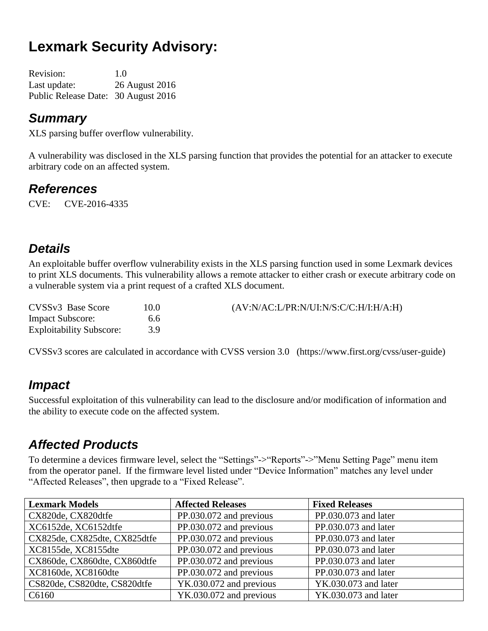# **Lexmark Security Advisory:**

| <b>Revision:</b>                    | 1.0            |
|-------------------------------------|----------------|
| Last update:                        | 26 August 2016 |
| Public Release Date: 30 August 2016 |                |

#### *Summary*

XLS parsing buffer overflow vulnerability.

A vulnerability was disclosed in the XLS parsing function that provides the potential for an attacker to execute arbitrary code on an affected system.

#### *References*

CVE: CVE-2016-4335

# *Details*

An exploitable buffer overflow vulnerability exists in the XLS parsing function used in some Lexmark devices to print XLS documents. This vulnerability allows a remote attacker to either crash or execute arbitrary code on a vulnerable system via a print request of a crafted XLS document.

| CVSSv3 Base Score               | 10.0 | (AV:N/AC:L/PR:N/UI:N/S:C/C:H/I:H/A:H) |
|---------------------------------|------|---------------------------------------|
| <b>Impact Subscore:</b>         | 6.6  |                                       |
| <b>Exploitability Subscore:</b> |      |                                       |

CVSSv3 scores are calculated in accordance with CVSS version 3.0 (https://www.first.org/cvss/user-guide)

#### *Impact*

Successful exploitation of this vulnerability can lead to the disclosure and/or modification of information and the ability to execute code on the affected system.

# *Affected Products*

To determine a devices firmware level, select the "Settings"->"Reports"->"Menu Setting Page" menu item from the operator panel. If the firmware level listed under "Device Information" matches any level under "Affected Releases", then upgrade to a "Fixed Release".

| <b>Lexmark Models</b>        | <b>Affected Releases</b> | <b>Fixed Releases</b> |
|------------------------------|--------------------------|-----------------------|
| CX820de, CX820dtfe           | PP.030.072 and previous  | PP.030.073 and later  |
| XC6152de, XC6152dtfe         | PP.030.072 and previous  | PP.030.073 and later  |
| CX825de, CX825dte, CX825dtfe | PP.030.072 and previous  | PP.030.073 and later  |
| XC8155de, XC8155dte          | PP.030.072 and previous  | PP.030.073 and later  |
| CX860de, CX860dte, CX860dtfe | PP.030.072 and previous  | PP.030.073 and later  |
| XC8160de, XC8160dte          | PP.030.072 and previous  | PP.030.073 and later  |
| CS820de, CS820dte, CS820dtfe | YK.030.072 and previous  | YK.030.073 and later  |
| C6160                        | YK.030.072 and previous  | YK.030.073 and later  |